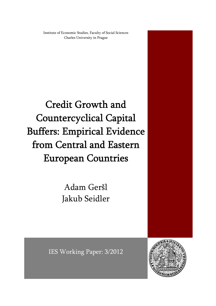Institute of Economic Studies, Faculty of Social Sciences Charles University in Prague

Credit Growth and Countercyclical Capital Buffers: Empirical Evidence from Central and Eastern European Countries

> Adam Geršl Jakub Seidler

IES Working Paper: 3/2012

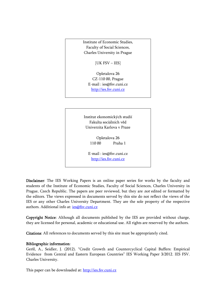Institute of Economic Studies, Faculty of Social Sciences, Charles University in Prague

[UK FSV – IES]

Opletalova 26 CZ-110 00, Prague E-mail : ies@fsv.cuni.cz http://ies.fsv.cuni.cz

Institut ekonomických studií Fakulta sociálních věd Univerzita Karlova v Praze

> Opletalova 26 110 00 Praha 1

E-mail : ies@fsv.cuni.cz http://ies.fsv.cuni.cz

Disclaimer: The IES Working Papers is an online paper series for works by the faculty and students of the Institute of Economic Studies, Faculty of Social Sciences, Charles University in Prague, Czech Republic. The papers are peer reviewed, but they are *not* edited or formatted by the editors. The views expressed in documents served by this site do not reflect the views of the IES or any other Charles University Department. They are the sole property of the respective authors. Additional info at: ies@fsv.cuni.cz

Copyright Notice: Although all documents published by the IES are provided without charge, they are licensed for personal, academic or educational use. All rights are reserved by the authors.

Citations: All references to documents served by this site must be appropriately cited.

#### Bibliographic information:

Geršl, A., Seidler, J. (2012). "Credit Growth and Countercyclical Capital Buffers: Empirical Evidence from Central and Eastern European Countries" IES Working Paper 3/2012. IES FSV. Charles University.

This paper can be downloaded at: http://ies.fsv.cuni.cz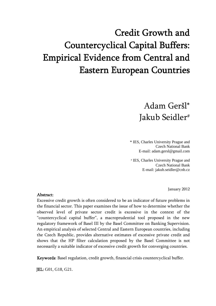# Credit Growth and Countercyclical Capital Buffers: Empirical Evidence from Central and Eastern European Countries

# Adam Geršl\* Jakub Seidler#

\* IES, Charles University Prague and Czech National Bank E-mail: adam.gersl@gmail.com

# IES, Charles University Prague and Czech National Bank E-mail: jakub.seidler@cnb.cz

January 2012

#### Abstract:

Excessive credit growth is often considered to be an indicator of future problems in the financial sector. This paper examines the issue of how to determine whether the observed level of private sector credit is excessive in the context of the "countercyclical capital buffer", a macroprudential tool proposed in the new regulatory framework of Basel III by the Basel Committee on Banking Supervision. An empirical analysis of selected Central and Eastern European countries, including the Czech Republic, provides alternative estimates of excessive private credit and shows that the HP filter calculation proposed by the Basel Committee is not necessarily a suitable indicator of excessive credit growth for converging countries.

Keywords: Basel regulation, credit growth, financial crisis countercyclical buffer.

JEL: G01, G18, G21.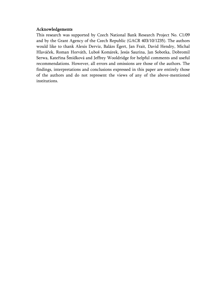#### Acknowledgements

This research was supported by Czech National Bank Research Project No. C1/09 and by the Grant Agency of the Czech Republic (GACR 403/10/1235). The authors would like to thank Alexis Derviz, Balázs Égert, Jan Frait, David Hendry, Michal Hlaváček, Roman Horváth, Luboš Komárek, Jesús Saurina, Jan Sobotka, Dobromil Serwa, Kateřina Šmídková and Jeffrey Wooldridge for helpful comments and useful recommendations. However, all errors and omissions are those of the authors. The findings, interpretations and conclusions expressed in this paper are entirely those of the authors and do not represent the views of any of the above-mentioned institutions.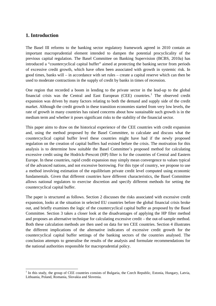## **1. Introduction**

The Basel III reforms to the banking sector regulatory framework agreed in 2010 contain an important macroprudential element intended to dampen the potential procyclicality of the previous capital regulation. The Basel Committee on Banking Supervision (BCBS, 2010a) has introduced a "countercyclical capital buffer" aimed at protecting the banking sector from periods of excessive credit growth, which have often been associated with growth in systemic risk. In good times, banks will – in accordance with set rules – create a capital reserve which can then be used to moderate contractions in the supply of credit by banks in times of recession.

One region that recorded a boom in lending to the private sector in the lead-up to the global financial crisis was the Central and East European  $(CEE)$  countries.<sup>[1](#page-4-0)</sup> The observed credit expansion was driven by many factors relating to both the demand and supply side of the credit market. Although the credit growth in these transition economies started from very low levels, the rate of growth in many countries has raised concerns about how sustainable such growth is in the medium term and whether it poses significant risks to the stability of the financial sector.

This paper aims to draw on the historical experience of the CEE countries with credit expansion and, using the method proposed by the Basel Committee, to calculate and discuss what the countercyclical capital buffer level these countries might have had if the newly proposed regulation on the creation of capital buffers had existed before the crisis. The motivation for this analysis is to determine how suitable the Basel Committee's proposed method for calculating excessive credit using the Hodrick-Prescott (HP) filter is for the countries of Central and Eastern Europe. In these countries, rapid credit expansion may simply mean convergence to values typical of the advanced nations, and not excessive borrowing. For this type of country, we propose to use a method involving estimation of the equilibrium private credit level computed using economic fundamentals. Given that different countries have different characteristics, the Basel Committee allows national regulators to exercise discretion and specify different methods for setting the countercyclical capital buffer.

The paper is structured as follows. Section 2 discusses the risks associated with excessive credit expansion, looks at the situation in selected EU countries before the global financial crisis broke out, and briefly examines the logic of the countercyclical capital buffer as proposed by the Basel Committee. Section 3 takes a closer look at the disadvantages of applying the HP filter method and proposes an alternative technique for calculating excessive credit – the out-of-sample method. Both these calculation methods are then used on data for ten CEE countries. Section 4 illustrates the different implications of the alternative indicators of excessive credit growth for the countercyclical capital buffer settings of the banking sectors of the countries analysed. The conclusion attempts to generalise the results of the analysis and formulate recommendations for the national authorities responsible for macroprudential policy.

<span id="page-4-0"></span> $<sup>1</sup>$  In this study, the group of CEE countries consists of Bulgaria, the Czech Republic, Estonia, Hungary, Latvia,</sup> Lithuania, Poland, Romania, Slovakia and Slovenia.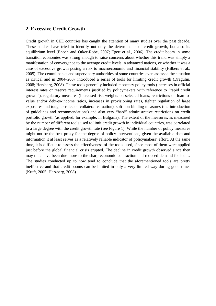### **2. Excessive Credit Growth**

Credit growth in CEE countries has caught the attention of many studies over the past decade. These studies have tried to identify not only the determinants of credit growth, but also its equilibrium level (Enoch and Ötker-Robe, 2007; Égert et al., 2006). The credit boom in some transition economies was strong enough to raise concerns about whether this trend was simply a manifestation of convergence to the average credit levels in advanced nations, or whether it was a case of excessive growth posing a risk to macroeconomic and financial stability (Hilbers et al., 2005). The central banks and supervisory authorities of some countries even assessed the situation as critical and in 2004–2007 introduced a series of tools for limiting credit growth (Dragulin, 2008; Herzberg, 2008). These tools generally included monetary policy tools (increases in official interest rates or reserve requirements justified by policymakers with reference to "rapid credit growth"), regulatory measures (increased risk weights on selected loans, restrictions on loan-tovalue and/or debt-to-income ratios, increases in provisioning rates, tighter regulation of large exposures and tougher rules on collateral valuation), soft non-binding measures (the introduction of guidelines and recommendations) and also very "hard" administrative restrictions on credit portfolio growth (as applied, for example, in Bulgaria). The extent of the measures, as measured by the number of different tools used to limit credit growth in individual countries, was correlated to a large degree with the credit growth rate (see Figure 1). While the number of policy measures might not be the best proxy for the degree of policy interventions, given the available data and information it at least serves as a relatively reliable indicator of policymakers' effort. At the same time, it is difficult to assess the effectiveness of the tools used, since most of them were applied just before the global financial crisis erupted. The decline in credit growth observed since then may thus have been due more to the sharp economic contraction and reduced demand for loans. The studies conducted up to now tend to conclude that the aforementioned tools are pretty ineffective and that credit booms can be limited in only a very limited way during good times (Kraft, 2005; Herzberg, 2008).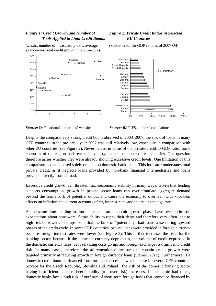## *Figure 1: Credit Growth and Number of Tools Applied to Limit Credit Booms*

(x-axis: number of measures; y-axis: average year-on-year real credit growth in 2005–2007)



#### *Figure 2: Private Credit Ratios in Selected EU Countries*

(x-axis: credit-to-GDP ratio as of 2007 Q4)

*Source:* IMF, national authorities´ websites *Source:* IMF IFS, authors´ calculations

Despite the comparatively strong credit boom observed in 2003–2007, the stock of loans in many CEE countries in the pre-crisis year 2007 was still relatively low, especially in comparison with other EU countries (see Figure 2). Nevertheless, in terms of the private-credit-to-GDP ratio, some countries of the region had reached levels typical of some euro area countries. The question therefore arises whether they were already showing excessive credit levels. One limitation of this comparison is that is based solely on data on domestic bank loans. This indicator understates total private credit, as it neglects loans provided by non-bank financial intermediaries and loans provided directly from abroad.

Excessive credit growth can threaten macroeconomic stability in many ways. Given that lending supports consumption, growth in private sector loans can over-stimulate aggregate demand beyond the framework of potential output and cause the economy to overheat, with knock-on effects on inflation, the current account deficit, interest rates and the real exchange rate.

At the same time, lending institutions can, in an economic growth phase, have over-optimistic expectations about borrowers' future ability to repay their debts and therefore very often lend to high-risk borrowers. The upshot is that the bulk of "potentially" bad loans arise during upward phases of the credit cycle. In some CEE countries, private loans were provided in foreign currency because foreign interest rates were lower (see Figure 3). This further increases the risks for the banking sector, because if the domestic currency depreciates, the volume of credit expressed in the domestic currency rises, debt servicing costs go up, and foreign exchange risk turns into credit risk. In many cases, therefore, the aforementioned measures to contain credit growth were targeted primarily at reducing growth in foreign currency loans (Steiner, 2011). Furthermore, if a domestic credit boom is financed from foreign sources, as was the case in several CEE countries (except for the Czech Republic, Slovakia and Poland), the risk of the domestic banking sector having insufficient balance-sheet liquidity (roll-over risk) increases. In economic bad times, domestic banks face a high risk of outflows of short-term foreign funds that cannot be financed by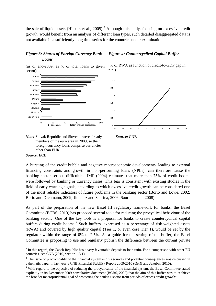the sale of liquid assets (Hilbers et al.,  $2005$  $2005$ ).<sup>2</sup> Although this study, focusing on excessive credit growth, would benefit from an analysis of different loan types, such detailed disaggregated data is not available in a sufficiently long time series for the countries under examination.

#### *Figure 3: Shares of Foreign Currency Bank Loans*

(as of end-2009; as % of total loans to given sector)



# *Figure 4: Countercyclical Capital Buffer*





 *Note:* Slovak Republic and Slovenia were already *Source:* CNB members of the euro area in 2009, so their foreign currency loans comprise currencies other than EUR.

#### *Source:* ECB

A bursting of the credit bubble and negative macroeconomic developments, leading to external financing constraints and growth in non-performing loans (NPLs), can therefore cause the banking sector serious difficulties. IMF (2004) estimates that more than 75% of credit booms were followed by banking or currency crises. This fear is consistent with existing studies in the field of early warning signals, according to which excessive credit growth can be considered one of the most reliable indicators of future problems in the banking sector (Borio and Lowe, 2002; Borio and Drehmann, 2009; Jimenez and Saurina, 2006; Saurina et al., 2008).

As part of the preparation of the new Basel III regulatory framework for banks, the Basel Committee (BCBS, 2010) has proposed several tools for reducing the procyclical behaviour of the banking sector.<sup>[3](#page-7-1)</sup> One of the key tools is a proposal for banks to create countercyclical capital buffers during credit booms.<sup>[4](#page-7-2)</sup> Such buffers, expressed as a percentage of risk-weighted assets (RWA) and covered by high quality capital (Tier 1, or even core Tier 1), would be set by the regulator within the range of 0% to 2.5%. As a guide for the setting of the buffer, the Basel Committee is proposing to use and regularly publish the difference between the current private

<span id="page-7-0"></span> $2 \text{ In this regard, the Czech Republic has a very favourable deposit-to- loan ratio. For a comparison with other EU.}$ countries, see CNB (2010, section 1.3.1).

<span id="page-7-1"></span><sup>&</sup>lt;sup>3</sup> The issue of procyclicality of the financial system and its sources and potential consequences was discussed in a thematic paper in last year's CNB Financial Stability Report 2009/2010 (Geršl and Jakubík, 2010).

<span id="page-7-2"></span><sup>&</sup>lt;sup>4</sup> With regard to the objective of reducing the procyclicality of the financial system, the Basel Committee stated explicitly in its December 2009 consultative document (BCBS, 2009) that the aim of this buffer was to "achieve the broader macroprudential goal of protecting the banking sector from periods of excess credit growth".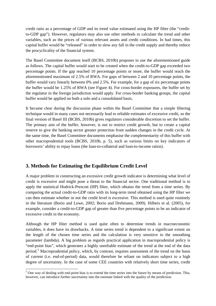credit ratio as a percentage of GDP and its trend value estimated using the HP filter (the "creditto-GDP gap"). However, regulators may also use other methods to calculate the trend and other variables, such as the prices of various relevant assets and credit conditions. In bad times, this capital buffer would be "released" in order to slow any fall in the credit supply and thereby reduce the procyclicality of the financial system.

The Basel Committee document itself (BCBS, 2010b) proposes to use the aforementioned guide as follows. The capital buffer would start to be created when the credit-to-GDP gap exceeded two percentage points. If the gap reached 10 percentage points or more, the buffer would reach the aforementioned maximum of 2.5% of RWA. For gaps of between 2 and 10 percentage points, the buffer would vary linearly between 0% and 2.5%. For example, for a gap of six percentage points the buffer would be 1.25% of RWA (see Figure 4). For cross-border exposures, the buffer set by the regulator in the foreign jurisdiction would apply. For cross-border banking groups, the capital buffer would be applied on both a solo and a consolidated basis.

It became clear during the discussion phase within the Basel Committee that a simple filtering technique would in many cases not necessarily lead to reliable estimates of excessive credit, so the final version of Basel III (BCBS, 2010b) gives regulators considerable discretion to set the buffer. The primary aim of the buffer, however, is not to restrict credit growth, but to create a capital reserve to give the banking sector greater protection from sudden changes in the credit cycle. At the same time, the Basel Committee documents emphasise the complementarity of this buffer with other macroprudential tools (BCBS, 2010b, p. 5), such as various limits on key indicators of borrowers' ability to repay loans (the loan-to-collateral and loan-to-income ratios).

# **3. Methods for Estimating the Equilibrium Credit Level**

A major problem in constructing an excessive credit growth indicator is determining what level of credit is excessive and might pose a threat to the financial sector. One traditional method is to apply the statistical Hodrick-Prescott (HP) filter, which obtains the trend from a time series. By comparing the actual credit-to-GDP ratio with its long-term trend obtained using the HP filter we can then estimate whether or not the credit level is excessive. This method is used quite routinely in the literature (Borio and Lowe, 2002; Borio and Drehmann, 2009). Hilbers et al. (2005), for example, consider a credit-to-GDP gap of greater than five percentage points to be an indicator of excessive credit in the economy.

Although the HP filter method is used quite often to determine trends in macroeconomic variables, it does have its drawbacks. A time series trend is dependent to a significant extent on the length of the chosen time series and the calculation is very sensitive to the smoothing parameter (lambda). A big problem as regards practical application in macroprudential policy is "end-point bias", which generates a highly unreliable estimate of the trend at the end of the data period.<sup>[5](#page-8-0)</sup> Macroprudential policy, which, by contrast, requires assessment of the trend on the basis of current (i.e. end-of-period) data, would therefore be reliant on indicators subject to a high degree of uncertainty. In the case of some CEE countries with relatively short time series, credit

<span id="page-8-0"></span> $5$  One way of dealing with end-point bias is to extend the time series into the future by means of prediction. This, however, can introduce further uncertainty into the estimate linked with the quality of the prediction.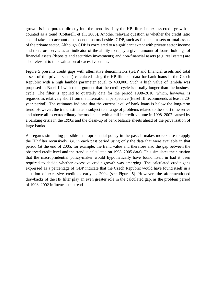growth is incorporated directly into the trend itself by the HP filter, i.e. excess credit growth is counted as a trend (Cottarelli et al., 2005). Another relevant question is whether the credit ratio should take into account other denominators besides GDP, such as financial assets or total assets of the private sector. Although GDP is correlated to a significant extent with private sector income and therefore serves as an indicator of the ability to repay a given amount of loans, holdings of financial assets (deposits and securities investments) and non-financial assets (e.g. real estate) are also relevant to the evaluation of excessive credit.

Figure 5 presents credit gaps with alternative denominators (GDP and financial assets and total assets of the private sector) calculated using the HP filter on data for bank loans in the Czech Republic with a high lambda parameter equal to 400,000. Such a high value of lambda was proposed in Basel III with the argument that the credit cycle is usually longer than the business cycle. The filter is applied to quarterly data for the period 1998–2010, which, however, is regarded as relatively short from the international perspective (Basel III recommends at least a 20 year period). The estimates indicate that the current level of bank loans is below the long-term trend. However, the trend estimate is subject to a range of problems related to the short time series and above all to extraordinary factors linked with a fall in credit volume in 1998–2002 caused by a banking crisis in the 1990s and the clean-up of bank balance sheets ahead of the privatisation of large banks.

As regards simulating possible macroprudential policy in the past, it makes more sense to apply the HP filter recursively, i.e. in each past period using only the data that were available in that period (at the end of 2005, for example, the trend value and therefore also the gap between the observed credit level and the trend is calculated on 1998–2005 data). This simulates the situation that the macroprudential policy-maker would hypothetically have found itself in had it been required to decide whether excessive credit growth was emerging. The calculated credit gaps expressed as a percentage of GDP indicate that the Czech Republic would have found itself in a situation of excessive credit as early as 2004 (see Figure 5). However, the aforementioned drawbacks of the HP filter play an even greater role in the calculated gap, as the problem period of 1998–2002 influences the trend.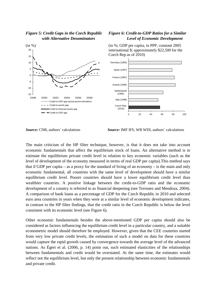#### *Figure 5: Credit Gaps in the Czech Republic with Alternative Denominators*



#### *Figure 6: Credit-to-GDP Ratios for a Similar Level of Economic Development*

(in %; GDP per capita, in PPP, constant 2005 international \$; approximately \$22,500 for the Czech Rep as of 2010)



*Source:* CNB, authors´ calculations *Source:* IMF IFS, WB WDI, authors´ calculations

The main criticism of the HP filter technique, however, is that it does not take into account economic fundamentals that affect the equilibrium stock of loans. An alternative method is to estimate the equilibrium private credit level in relation to key economic variables (such as the level of development of the economy measured in terms of real GDP per capita).This method says that if GDP per capita – as a proxy for the standard of living of an economy – is the main and only economic fundamental, all countries with the same level of development should have a similar equilibrium credit level. Poorer countries should have a lower equilibrium credit level than wealthier countries. A positive linkage between the credit-to-GDP ratio and the economic development of a country is referred to as financial deepening (see Terrones and Mendoza, 2004). A comparison of bank loans as a percentage of GDP for the Czech Republic in 2010 and selected euro area countries in years when they were at a similar level of economic development indicates, in contrast to the HP filter findings, that the credit ratio in the Czech Republic is below the level consistent with its economic level (see Figure 6).

Other economic fundamentals besides the above-mentioned GDP per capita should also be considered as factors influencing the equilibrium credit level in a particular country, and a suitable econometric model should therefore be employed. However, given that the CEE countries started from very low private credit levels, the estimation of such a model on data for these countries would capture the rapid growth caused by convergence towards the average level of the advanced nations. As Égert et al. (2006, p. 14) point out, such estimated elasticities of the relationships between fundamentals and credit would be overstated. At the same time, the estimates would reflect not the equilibrium level, but only the present relationship between economic fundamentals and private credit.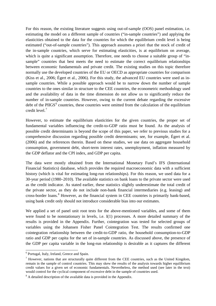For this reason, the existing literature suggests using out-of-sample (OOS) panel estimation, i.e. estimating the model on a different sample of countries ("in-sample countries") and applying the elasticities obtained to the data for the countries for which the equilibrium credit level is being estimated ("out-of-sample countries"). This approach assumes a priori that the stock of credit of the in-sample countries, which serve for estimating elasticities, is at equilibrium on average, which is quite a significant assumption. Therefore, one needs to choose a suitable group of "insample" countries that best meets the need to estimate the correct equilibrium relationships between economic fundamentals and private credit. The existing studies on this topic therefore normally use the developed countries of the EU or OECD as appropriate countries for comparison (Kiss et al., 2006; Égert et al., 2006). For this study, the advanced EU countries were used as insample countries. While a possible approach would be to narrow down the number of sample countries to the ones similar in structure to the CEE countries, the econometric methodology used and the availability of data in the time dimension do not allow us to significantly reduce the number of in-sample countries. However, owing to the current debate regarding the excessive debt of the PIIGS<sup>[6](#page-11-0)</sup> countries, these countries were omitted from the calculation of the equilibrium credit level<sup>[7](#page-11-1)</sup>

However, to estimate the equilibrium elasticities for the given countries, the proper set of fundamental variables influencing the credit-to-GDP ratio must be found. As the analysis of possible credit determinants is beyond the scope of this paper, we refer to previous studies for a comprehensive discussion regarding possible credit determinants; see, for example, Égert et al. (2006) and the references therein. Based on these studies, we use data on aggregate household consumption, government debt, short-term interest rates, unemployment, inflation measured by the GDP deflator and the CPI index, and GDP per capita.

The data were mostly obtained from the International Monetary Fund's IFS (International Financial Statistics) database, which provides the required macroeconomic data with a sufficient history (which is vital for estimating long-run relationships). For this reason, we used data for a 30-year period (1980–2010). The available statistics on bank loans to the private sector were used as the credit indicator. As stated earlier, these statistics slightly underestimate the total credit of the private sector, as they do not include non-bank financial intermediaries (e.g. leasing) and cross-border loans.<sup>[8](#page-11-2)</sup> However, as the financial system in CEE countries is primarily bank-based, using bank credit only should not introduce considerable bias into our estimates.

We applied a set of panel unit root tests for the above-mentioned variables, and some of them were found to be nonstationary in levels, i.e. I(1) processes. A more detailed summary of the results is provided in the Appendix. Further, cointegration was tested for selected groups of variables using the Johansen Fisher Panel Cointegration Test. The results confirmed one cointegration relationship between the credit-to-GDP ratio, the household consumption-to-GDP ratio and GDP per capita for the set of in-sample countries. As discussed above, the presence of the GDP per capita variable in the long-run relationship is desirable as it captures the different

<span id="page-11-0"></span> <sup>6</sup> Portugal, Italy, Ireland, Greece and Spain.

<span id="page-11-1"></span> $<sup>7</sup>$  However, nations that are structurally quite different from the CEE countries, such as the United Kingdom,</sup> remain in the sample of control countries. This may skew the results of the analysis towards higher equilibrium credit values for a given set of economic fundamentals. Nevertheless, the method used (see later in the text) would control for the cyclical component of excessive debt in the sample of countries used.

<span id="page-11-2"></span><sup>&</sup>lt;sup>8</sup> A detailed description of the available data is provided in the Appendix.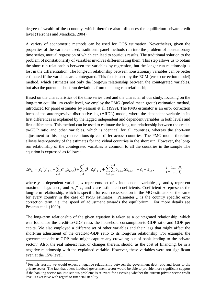degree of wealth of the economy, which therefore also influences the equilibrium private credit level (Terrones and Mendoza, 2004).

A variety of econometric methods can be used for OOS estimation. Nevertheless, given the properties of the variables used, traditional panel methods run into the problem of nonstationary time series, mutual regression of which can lead to spurious results. The traditional solution to the problem of nonstationarity of variables involves differentiating them. This step allows us to obtain the short-run relationship between the variables by regression, but the longer-run relationship is lost in the differentiation. The long-run relationship between nonstationary variables can be better estimated if the variables are cointegrated. This fact is used by the ECM (error correction model) method, which estimates not only the long-run relationship between the cointegrated variables, but also the potential short-run deviations from this long-run relationship.

Based on the characteristics of the time series used and the character of our study, focusing on the long-term equilibrium credit level, we employ the PMG (pooled mean group) estimation method, introduced for panel estimates by Pesaran et al. (1999). The PMG estimator is an error correction form of the autoregressive distributive lag (ARDL) model, where the dependent variable in its first differences is explained by the lagged independent and dependent variables in both levels and first differences. This method can be used to estimate the long-run relationship between the creditto-GDP ratio and other variables, which is identical for all countries, whereas the short-run adjustment to this long-run relationship can differ across countries. The PMG model therefore allows heterogeneity of the estimates for individual countries in the short run. However, the longrun relationship of the cointegrated variables is common to all the countries in the sample The equation is expressed as follows:

$$
\Delta y_{i,t} = \rho_i (y_{i,t-1} - \sum_{h=1}^{v} \alpha_{i,h} x_{i,h,t}) + \sum_{j=1}^{p-1} \beta_{i,j} \Delta y_{i,t-j} + \sum_{h=1}^{v} \sum_{j=0}^{q-1} \gamma_{i,h,j} \Delta x_{i,h,t-j} + c_i + \varepsilon_{i,t}, \qquad i = 1,..., N, \quad t = 1,..., T,
$$

where *y* is dependent variable, *x* represents set of *v* independent variables, *p* and *q* represent maximum lags used, and  $\alpha$ ,  $\beta$ ,  $c$ , and  $\gamma$  are estimated coefficients. Coefficient  $\alpha$  represents the long-term relationship, which is specific for each cross-section in the MG estimator or the same for every country in the case of PMG estimator. Parameter  $\rho$  is the country specific error correction term, i.e. the speed of adjustment towards the equilibrium. For more details see Pesaran et al. (1999).

The long-term relationship of the given equation is taken as a cointegrated relationship, which was found for the credit-to-GDP ratio, the household consumption-to-GDP ratio and GDP per capita. We also employed a different set of other variables and their lags that might affect the short-run adjustment of the credit-to-GDP ratio to its long-run relationship. For example, the government debt-to-GDP ratio might capture any crowding out of bank lending to the private sector.<sup>[9](#page-12-0)</sup> Also, the real interest rate, or changes therein, should, as the cost of financing, be in a negative relationship with the explained variable. However, these variables were not significant even at the 15% level.

<span id="page-12-0"></span><sup>&</sup>lt;sup>9</sup> For this reason, we would expect a negative relationship between the government debt ratio and loans to the private sector. The fact that a less indebted government sector would be able to provide more significant support if the banking sector ran into serious problems is relevant for assessing whether the current private sector credit level is excessive with regard to financial stability.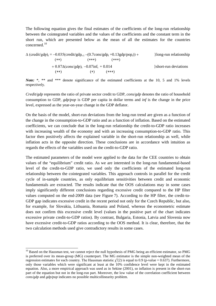The following equation gives the final estimates of the coefficients of the long-run relationship between the cointegrated variables and the values of the coefficients and the constant term in the short run, which are presented below as the mean of all the estimates for the countries concerned.[10](#page-13-0)

$$
\Delta (credit/gdp)_t = -0.035(credit/gdp_{t-1} - (0.7cons/gdp_t + 0.13gdp/pop_t)) +
$$
  
\n
$$
(***)
$$
  
\n+ 0.87 $\Delta (cons/gdp)_t$  -0.07 $inf_t$  + 0.014  
\n
$$
(**)
$$
  
\n
$$
(*)
$$
  
\n
$$
(*)
$$
  
\n
$$
(*)
$$
  
\n
$$
(*)
$$
  
\n
$$
(*)
$$
  
\n
$$
(*)
$$
  
\n
$$
(*)
$$
  
\n
$$
(*)
$$
  
\n
$$
(*)
$$
  
\n
$$
(*)
$$
  
\n
$$
(*)
$$
  
\n
$$
(*)
$$
  
\n
$$
(*)
$$
  
\n
$$
(*)
$$
  
\n
$$
(*)
$$
  
\n
$$
(*)
$$
  
\n
$$
(*)
$$
  
\n
$$
(*)
$$
  
\n
$$
(*)
$$
  
\n
$$
(*)
$$
  
\n
$$
(*)
$$
  
\n
$$
(*)
$$
  
\n
$$
(*)
$$
  
\n
$$
(*)
$$
  
\n
$$
(*)
$$
  
\n
$$
(*)
$$
  
\n
$$
(*)
$$
  
\n
$$
(*)
$$
  
\n
$$
(*)
$$
  
\n
$$
(*)
$$
  
\n
$$
(*)
$$
  
\n
$$
(*)
$$
  
\n
$$
(*)
$$
  
\n
$$
(*)
$$
  
\n
$$
(*)
$$
  
\n
$$
(*)
$$
  
\n
$$
(*)
$$
  
\n
$$
(*)
$$
  
\n
$$
(*)
$$
  
\n
$$
(*)
$$
  
\n
$$
(*)
$$
  
\n
$$
(*)
$$
  
\n
$$
(*)
$$
  
\n
$$
(*)
$$
  
\n
$$
(*)
$$
  
\n
$$
(*)
$$
  
\n
$$
(*)
$$
  
\n
$$
(*)
$$
  
\n
$$
(*)
$$
  
\n

*Note:* \*, \*\* and \*\*\* denote significance of the estimated coefficients at the 10, 5 and 1% levels respectively.

*Credit/gdp* represents the ratio of private sector credit to GDP, *cons/gdp* denotes the ratio of household consumption to GDP, *gdp/pop* is GDP per capita in dollar terms and *inf* is the change in the price level, expressed as the year-on-year change in the GDP deflator.

On the basis of the model, short-run deviations from the long-run trend are given as a function of the change in the consumption-to-GDP ratio and as a function of inflation. Based on the estimated coefficients, we can conclude that in the long-run relationship the credit-to-GDP ratio increases with increasing wealth of the economy and with an increasing consumption-to-GDP ratio. This factor then positively affects the explained variable in the short-run relationship as well, while inflation acts in the opposite direction. These conclusions are in accordance with intuition as regards the effects of the variables used on the credit-to-GDP ratio.

The estimated parameters of the model were applied to the data for the CEE countries to obtain values of the "equilibrium" credit ratio. As we are interested in the long-run fundamental-based level of the credit-to-GDP ratio, we used only the coefficients of the estimated long-run relationship between the cointegrated variables. This approach controls in parallel for the credit cycle of in-sample countries, as only equilibrium sensitivities between credit and economic fundamentals are extracted. The results indicate that the OOS calculations may in some cases imply significantly different conclusions regarding excessive credit compared to the HP filter values computed on the end-2009 data (see Figure 7). According to the HP filter, the credit-to-GDP gap indicates excessive credit in the recent period not only for the Czech Republic, but also, for example, for Slovakia, Lithuania, Romania and Poland, whereas the econometric estimate does not confirm this excessive credit level (values in the positive part of the chart indicates excessive private credit-to-GDP ratios). By contrast, Bulgaria, Estonia, Latvia and Slovenia now have excessive credit-to-GDP ratios according to the OOS method. It is clear, therefore, that the two calculation methods used give contradictory results in some cases.

<span id="page-13-0"></span><sup>&</sup>lt;sup>10</sup> Based on the Hausman test, we cannot reject the null hypothesis of PMG being an efficient estimator, so PMG is preferred over its mean-group (MG) counterpart. The MG estimator is the simple non-weighted mean of the regression estimates for each country. The Hausman statistic  $\chi^2(2)$  is equal to 0.9 (p-value = 0.637). Furthermore, only those variables which were significant at least at the 10% confidence level were kept in the estimated equation. Also, a more empirical approach was used as in Sekine (2001), so inflation is present in the short-run part of the equation but not in the long-run part. Moreover, the low value of the correlation coefficient between *cons/gdp* and *gdp/pop* indicates no possible multicollinearity problem.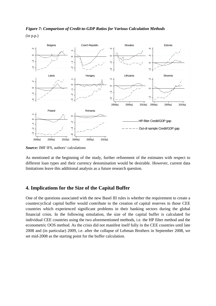

*Figure 7: Comparison of Credit-to-GDP Ratios for Various Calculation Methods* (in p.p.)

*Source:* IMF IFS, authors' calculations

As mentioned at the beginning of the study, further refinement of the estimates with respect to different loan types and their currency denomination would be desirable. However, current data limitations leave this additional analysis as a future research question.

#### **4. Implications for the Size of the Capital Buffer**

One of the questions associated with the new Basel III rules is whether the requirement to create a countercyclical capital buffer would contribute to the creation of capital reserves in those CEE countries which experienced significant problems in their banking sectors during the global financial crisis. In the following simulation, the size of the capital buffer is calculated for individual CEE countries using the two aforementioned methods, i.e. the HP filter method and the econometric OOS method. As the crisis did not manifest itself fully in the CEE countries until late 2008 and (in particular) 2009, i.e. after the collapse of Lehman Brothers in September 2008, we set mid-2008 as the starting point for the buffer calculation.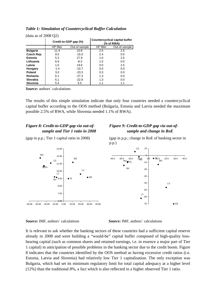| Table 1: Simulation of Countercyclical Buffer Calculation |  |  |
|-----------------------------------------------------------|--|--|
|-----------------------------------------------------------|--|--|

| (yata as 01 $\angle$ 000 $\angle$ 7) |                       |               |                                                     |               |  |
|--------------------------------------|-----------------------|---------------|-----------------------------------------------------|---------------|--|
|                                      | Credit-to-GDP gap (%) |               | <b>Countercyclical capital buffer</b><br>(% of RWA) |               |  |
|                                      | <b>HP</b> filter      | Out-of-sample | <b>HP</b> filter                                    | Out-of-sample |  |
| <b>Bulgaria</b>                      | 11.4                  | 10.8          | 2.5                                                 | 2.5           |  |
| Czech Rep.                           | 9.5                   | $-15.0$       | 2.4                                                 | 0.0           |  |
| <b>Estonia</b>                       | 5.3                   | 27.9          | 1.0                                                 | 2.5           |  |
| Lithuania                            | 6.9                   | $-8.3$        | 1.5                                                 | 0.0           |  |
| Latvia                               | 1.0                   | 19.6          | 0.0                                                 | 2.5           |  |
| Hungary                              | $-1.4$                | $-10.7$       | 0.0                                                 | 0.0           |  |
| Poland                               | 3.0                   | $-23.3$       | 0.3                                                 | 0.0           |  |
| Romania                              | 6.1                   | $-27.3$       | 1.3                                                 | 0.0           |  |
| <b>Slovakia</b>                      | 6.1                   | $-22.8$       | 1.3                                                 | 0.0           |  |
| Slovenia                             | 5.4                   | 5.5           | 1.1                                                 | 1.1           |  |

 $(d_{\text{atq,as,of}} 2008 \Omega)$ 

*Source:* authors´ calculations

The results of this simple simulation indicate that only four countries needed a countercyclical capital buffer according to the OOS method (Bulgaria, Estonia and Latvia needed the maximum possible 2.5% of RWA, while Slovenia needed 1.1% of RWA).

#### *Figure 8: Credit-to-GDP gap via out-ofsample and Tier 1 ratio in 2008*

(gap in p.p.; Tier 1 capital ratio in 2008)



#### *Figure 9: Credit-to-GDP gap via out-ofsample and change in RoE*

(gap in p.p.; change in RoE of banking sector in p.p.)



#### *Source:* IMF, authors´ calculations *Source:* IMF, authors´ calculations

It is relevant to ask whether the banking sectors of these countries had a sufficient capital reserve already in 2008 and were building a "would-be" capital buffer composed of high-quality lossbearing capital (such as common shares and retained earnings, i.e. in essence a major part of Tier 1 capital) in anticipation of possible problems in the banking sector due to the credit boom. Figure 8 indicates that the countries identified by the OOS method as having excessive credit ratios (i.e. Estonia, Latvia and Slovenia) had relatively low Tier 1 capitalisation. The only exception was Bulgaria, which had set its minimum regulatory limit for total capital adequacy at a higher level (12%) than the traditional 8%, a fact which is also reflected in a higher observed Tier 1 ratio.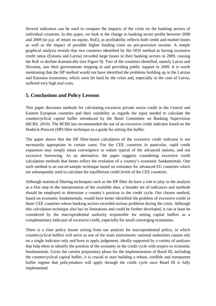Several indicators can be used to compare the impacts of the crisis on the banking sectors of individual countries. In this paper, we look at the change in banking sector profits between 2008 and 2009 (in p.p. of return on equity, RoE), as profitability reflects both credit and market losses as well as the impact of possible higher funding costs on pre-provision income. A simple graphical analysis reveals that two countries identified by the OOS method as having excessive credit ratios (Estonia and Latvia) recorded large losses in their banking sectors in 2009, causing the RoE to decline dramatically (see Figure 9). Two of the countries identified, namely Latvia and Slovenia, saw their governments stepping in and providing public support in 2009. It is worth mentioning that the HP method would not have identified the problems building up in the Latvian and Estonian economies, which were hit hard by the crisis and, especially in the case of Latvia, suffered very high real costs.

## **5. Conclusions and Policy Lessons**

This paper discusses methods for calculating excessive private sector credit in the Central and Eastern European countries and their suitability as regards the input needed to calculate the countercyclical capital buffer introduced by the Basel Committee on Banking Supervision (BCBS, 2010). The BCBS has recommended the use of an excessive credit indicator based on the Hodrick-Prescott (HP) filter technique as a guide for setting this buffer.

The paper shows that the HP filter-based calculation of the excessive credit indicator is not necessarily appropriate in certain cases. For the CEE countries in particular, rapid credit expansion may simply mean convergence to values typical of the advanced nations, and not excessive borrowing. As an alternative, the paper suggests considering excessive credit calculation methods that better reflect the evolution of a country's economic fundamentals. One such method is an out-of-sample technique based on estimates for advanced EU countries which are subsequently used to calculate the equilibrium credit levels of the CEE countries.

Although statistical filtering techniques such as the HP filter do have a role to play in the analysis as a first step in the interpretation of the available data, a broader set of indicators and methods should be employed to determine a country's position in the credit cycle. Our chosen method, based on economic fundamentals, would have better identified the problem of excessive credit in those CEE countries whose banking sectors recorded serious problems during the crisis. Although this calculation technique also has its limitations and could be further developed, it can at least be considered by the macroprudential authority responsible for setting capital buffers as a complementary indicator of excessive credit, especially for small converging economies.

There is a clear policy lesson arising from our analysis for macroprudential policy, in which countercyclical buffers will serve as one of the main instruments: national authorities cannot rely on a single indicator only and have to apply judgement, ideally supported by a variety of analyses that help them to identify the position of the economy in the credit cycle with respect to economic fundamentals. Given the current preparatory phase for the implementation of Basel III, including the countercyclical capital buffer, it is crucial to start building a robust, credible and transparent buffer regime that policymakers will apply through the credit cycle once Basel III is fully implemented.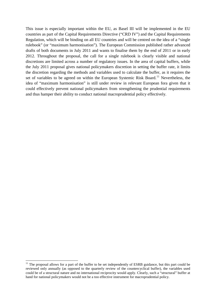This issue is especially important within the EU, as Basel III will be implemented in the EU countries as part of the Capital Requirements Directive ("CRD IV") and the Capital Requirements Regulation, which will be binding on all EU countries and will be centred on the idea of a "single rulebook" (or "maximum harmonisation"). The European Commission published rather advanced drafts of both documents in July 2011 and wants to finalise them by the end of 2011 or in early 2012. Throughout the proposal, the call for a single rulebook is clearly visible and national discretions are limited across a number of regulatory issues. In the area of capital buffers, while the July 2011 proposal gives national policymakers discretion in setting the buffer rate, it limits the discretion regarding the methods and variables used to calculate the buffer, as it requires the set of variables to be agreed on within the European Systemic Risk Board.<sup>[11](#page-17-0)</sup> Nevertheless, the idea of "maximum harmonisation" is still under review in relevant European fora given that it could effectively prevent national policymakers from strengthening the prudential requirements and thus hamper their ability to conduct national macroprudential policy effectively.

<span id="page-17-0"></span> $11$  The proposal allows for a part of the buffer to be set independently of ESRB guidance, but this part could be reviewed only annually (as opposed to the quarterly review of the countercyclical buffer), the variables used could be of a structural nature and no international reciprocity would apply. Clearly, such a "structural" buffer at hand for national policymakers would not be a too effective instrument for macroprudential policy.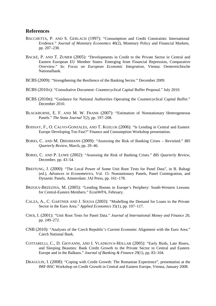#### **References**

- BACCHETTA, P. AND S. GERLACH (1997): "Consumption and Credit Constraints: International Evidence." *Journal of Monetary Economics* 40(2), Monetary Policy and Financial Markets, pp. 207–238.
- BACKÉ, P. AND T. ZUMER (2005): "Developments in Credit to the Private Sector in Central and Eastern European EU Member States: Emerging from Financial Repression, Comparative Overview." In: *Focus on European Economic Integration*, Vienna: Oesterreichische Nationalbank.
- BCBS (2009): "Strengthening the Resilience of the Banking Sector." December 2009.
- BCBS (2010A): "Consultative Document: Countercyclical Capital Buffer Proposal." July 2010.
- BCBS (2010B): "Guidance for National Authorities Operating the Countercyclical Capital Buffer." December 2010.
- BLACKBURNE, E. F. AND M. W. FRANK (2007): "Estimation of Nonstationary Heterogeneous Panels." *The Stata Journal* 7(2), pp. 197–208.
- BOISSAY, F., O. CALVO-GONZALES, AND T. KOZLUK (2006): "Is Lending in Central and Eastern Europe Developing Too Fast?" Finance and Consumption Workshop presentation.
- BORIO, C. AND M. DREHMANN (2009): "Assessing the Risk of Banking Crises Revisited." *BIS Quarterly Review*, March, pp. 29–46.
- BORIO, C. AND P. LOWE (2002): "Assessing the Risk of Banking Crises." *BIS Quarterly Review*, December, pp. 43–54.
- BREITUNG, J. (2000): "The Local Power of Some Unit Root Tests for Panel Data", in B. Baltagi (ed.), *Advances in Econometrics*, Vol. 15: Nonstationary Panels, Panel Cointegration, and Dynamic Panels, Amsterdam: JAI Press, pp. 161–178.
- BRZOZA-BRZEZINA, M. (2005): "Lending Booms in Europe's Periphery: South-Western Lessons for Central-Eastern Members." EconWPA, February.
- CALZA, A., C. GARTNER AND J. SOUSA (2003): "Modelling the Demand for Loans to the Private Sector in the Euro Area." *Applied Economics* 35(1), pp. 107–117.
- CHOI, I. (2001): "Unit Root Tests for Panel Data." *Journal of International Money and Finance* 20, pp. 249–272.
- CNB (2010): "Analyses of the Czech Republic's Current Economic Alignment with the Euro Area." Czech National Bank.
- COTTARELLI, C., D. GIOVANNI, AND I. VLADKOVA-HOLLAR (2005): "Early Birds, Late Risers, and Sleeping Beauties: Bank Credit Growth to the Private Sector in Central and Eastern Europe and in the Balkans." *Journal of Banking & Finance* 29(1), pp. 83–104.
- DRAGULIN, I. (2008): "Coping with Credit Growth: The Romanian Experience", presentation at the IMF-BSC Workshop on Credit Growth in Central and Eastern Europe, Vienna, January 2008.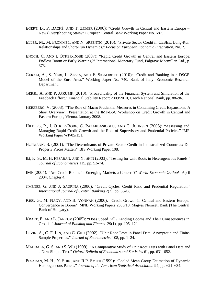- ÉGERT, B., P. BACKÉ, AND T. ZUMER (2006): "Credit Growth in Central and Eastern Europe New (Over)shooting Stars?" European Central Bank Working Paper No. 687.
- ELLER, M., M. FRÖMMEL, AND N. SRZENTIC (2010): "Private Sector Credit in CESEE: Long-Run Relationships and Short-Run Dynamics." *Focus on European Economic Integration*, No. 2.
- ENOCH, C. AND I. ÖTKER-ROBE (2007): "Rapid Credit Growth in Central and Eastern Europe: Endless Boom or Early Warning?" International Monetary Fund, Palgrave Macmillan Ltd., p. 373.
- GERALI, A., S. NERI, L. SESSA, AND F. SIGNORETTI (2010): "Credit and Banking in a DSGE Model of the Euro Area." Working Paper No. 740, Bank of Italy, Economic Research Department.
- GERŠL, A. AND P. JAKUBÍK (2010): "Procyclicality of the Financial System and Simulation of the Feedback Effect." Financial Stability Report 2009/2010, Czech National Bank, pp. 88–96.
- HERZBERG, V. (2008): "The Role of Macro Prudential Measures in Containing Credit Expansions: A Short Overview." Presentation at the IMF-BSC Workshop on Credit Growth in Central and Eastern Europe, Vienna, January 2008.
- HILBERS, P., I. OTKER-ROBE, C. PAZARBASIOGLU, AND G. JOHNSEN (2005): "Assessing and Managing Rapid Credit Growth and the Role of Supervisory and Prudential Policies." IMF Working Paper WP/05/151.
- HOFMANN, B. (2001): "The Determinants of Private Sector Credit in Industrialized Countries: Do Property Prices Matter?" BIS Working Paper 108.
- IM, K. S., M. H. PESARAN, AND Y. SHIN (2003): "Testing for Unit Roots in Heterogeneous Panels." *Journal of Econometrics* 115, pp. 53–74.
- IMF (2004): "Are Credit Booms in Emerging Markets a Concern?" *World Economic Outlook*, April 2004, Chapter 4.
- JIMÉNEZ, G. AND J. SAURINA (2006): "Credit Cycles, Credit Risk, and Prudential Regulation." *International Journal of Central Banking* 2(2), pp. 65–98.
- KISS, G., M. NAGY, AND B. VONNÁK (2006): "Credit Growth in Central and Eastern Europe: Convergence or Boom?" MNB Working Papers 2006/10, Magyar Nemzeti Bank (The Central Bank of Hungary).
- KRAFT, E. AND L. JANKOV (2005): "Does Speed Kill? Lending Booms and Their Consequences in Croatia." *Journal of Banking and Finance* 29(1), pp. 105–121.
- LEVIN, A., C. F. LIN, AND C. CHU (2002): "Unit Root Tests in Panel Data: Asymptotic and Finite-Sample Properties." *Journal of Econometrics* 108, pp. 1–24.
- MADDALA, G. S. AND S. WU (1999): "A Comparative Study of Unit Root Tests with Panel Data and a New Simple Test." *Oxford Bulletin of Economics and Statistics* 61, pp. 631–652.
- PESARAN, M. H., Y. SHIN, AND R.P. SMITH (1999): "Pooled Mean Group Estimation of Dynamic Heterogeneous Panels." *Journal of the American Statistical Association* 94, pp. 621–634.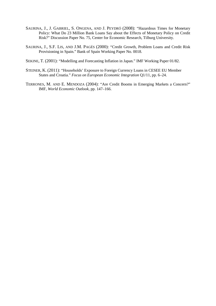- SAURINA, J., J. GABRIEL, S. ONGENA, AND J. PEYDRÓ (2008): "Hazardous Times for Monetary Policy: What Do 23 Million Bank Loans Say about the Effects of Monetary Policy on Credit Risk?" Discussion Paper No. 75, Center for Economic Research, Tilburg University.
- SAURINA, J., S.F. LIS, AND J.M. PAGÉS (2000): "Credit Growth, Problem Loans and Credit Risk Provisioning in Spain." Bank of Spain Working Paper No. 0018.
- SEKINE, T. (2001): "Modelling and Forecasting Inflation in Japan." IMF Working Paper 01/82.
- STEINER, K. (2011): "Households' Exposure to Foreign Currency Loans in CESEE EU Member States and Croatia." *Focus on European Economic Integration* Q1/11, pp. 6–24.
- TERRONES, M. AND E. MENDOZA (2004): "Are Credit Booms in Emerging Markets a Concern?" IMF, *World Economic Outlook*, pp. 147–166.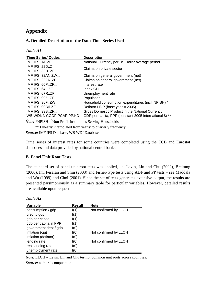# **Appendix**

#### **A. Detailed Description of the Data Time Series Used**

#### *Table A1*

| <b>Time Series' Codes</b> | <b>Description</b>                                      |  |
|---------------------------|---------------------------------------------------------|--|
| IMF IFS: $AFZF$           | National Currency per US Dollar average period          |  |
| IMF IFS: $22D.Z$          | Claims on private sector                                |  |
| IMF IFS: $32D. ZF$        |                                                         |  |
| IMF IFS: $32AN ZW$        | Claims on general government (net)                      |  |
| IMF IFS: $222A. ZF$       | Claims on general government (net)                      |  |
| IMF IFS: $60P. ZF$        | Interest rate                                           |  |
| IMF IFS: $64$ ZF          | Index CPI                                               |  |
| IMF IFS: $67R$ $ZF$       | Unemployment rate                                       |  |
| IMF IFS: $99Z. ZF$        | Population                                              |  |
| <b>IMF IFS: 96FZW</b>     | Household consumption expenditures (incl. NPISH) *      |  |
| IMF IFS: 99BIPZF          | Deflator HDP (base year = 2005)                         |  |
| <b>IMF IFS: 99BZF</b>     | Gross Domestic Product in the National Currency         |  |
| WB WDI: NY.GDP.PCAP.PP.KD | GDP per capita, PPP (constant 2005 international \$) ** |  |

*Note:* \*NPISH = Non-Profit Institutions Serving Households

\*\* Linearly interpolated from yearly to quarterly frequency

*Source:* IMF IFS Database, WB WDI Database

Time series of interest rates for some countries were completed using the ECB and Eurostat databases and data provided by national central banks.

#### **B. Panel Unit Root Tests**

The standard set of panel unit root tests was applied, i.e. Levin, Lin and Chu (2002), Breitung (2000), Im, Pesaran and Shin (2003) and Fisher-type tests using ADF and PP tests – see Maddala and Wu (1999) and Choi (2001). Since the set of tests generates extensive output, the results are presented parsimoniously as a summary table for particular variables. However, detailed results are available upon request.

| Table A2 |  |
|----------|--|
|----------|--|

| Variable              | <b>Result</b> | <b>Note</b>           |
|-----------------------|---------------|-----------------------|
| consumption / gdp     | I(1)          | Not confirmed by LLCH |
| credit / gdp          | I(1)          |                       |
| gdp per capita        | I(1)          |                       |
| gdp per capita in PPP | I(1)          |                       |
| government debt / gdp | I(0)          |                       |
| inflation (cpi)       | I(0)          | Not confirmed by LLCH |
| inflation (deflator)  | I(0)          |                       |
| lending rate          | I(0)          | Not confirmed by LLCH |
| real lending rate     | I(0)          |                       |
| unemployment rate     | I(0)          |                       |

*Note:* LLCH = Levin, Lin and Chu test for common unit roots across countries. *Source:* authors´ computation